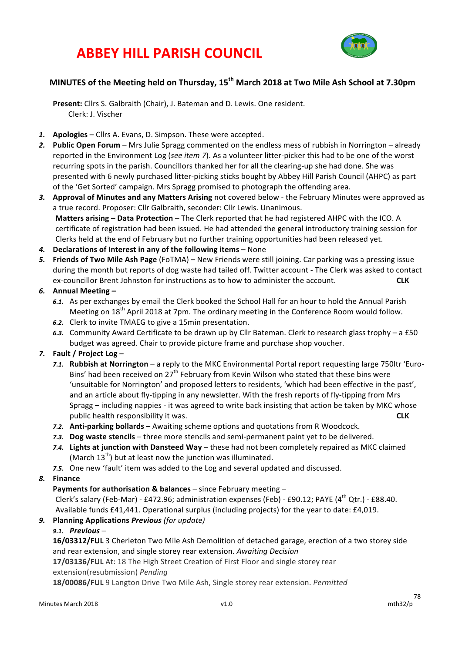# **ABBEY HILL PARISH COUNCIL**



# **MINUTES of the Meeting held on Thursday, 15th March 2018 at Two Mile Ash School at 7.30pm**

Present: Cllrs S. Galbraith (Chair), J. Bateman and D. Lewis. One resident. Clerk: J. Vischer

- 1. **Apologies** Cllrs A. Evans, D. Simpson. These were accepted.
- 2. Public Open Forum Mrs Julie Spragg commented on the endless mess of rubbish in Norrington already reported in the Environment Log (*see item 7*). As a volunteer litter-picker this had to be one of the worst recurring spots in the parish. Councillors thanked her for all the clearing-up she had done. She was presented with 6 newly purchased litter-picking sticks bought by Abbey Hill Parish Council (AHPC) as part of the 'Get Sorted' campaign. Mrs Spragg promised to photograph the offending area.
- 3. Approval of Minutes and any Matters Arising not covered below the February Minutes were approved as a true record. Proposer: Cllr Galbraith, seconder: Cllr Lewis. Unanimous. **Matters arising - Data Protection** - The Clerk reported that he had registered AHPC with the ICO. A certificate of registration had been issued. He had attended the general introductory training session for Clerks held at the end of February but no further training opportunities had been released yet.
- 4. Declarations of Interest in any of the following items None
- 5. **Friends of Two Mile Ash Page** (FoTMA) New Friends were still joining. Car parking was a pressing issue during the month but reports of dog waste had tailed off. Twitter account - The Clerk was asked to contact ex-councillor Brent Johnston for instructions as to how to administer the account. **CLK**

# *6.* **Annual Meeting –**

- 6.1. As per exchanges by email the Clerk booked the School Hall for an hour to hold the Annual Parish Meeting on  $18<sup>th</sup>$  April 2018 at 7pm. The ordinary meeting in the Conference Room would follow.
- 6.2. Clerk to invite TMAEG to give a 15min presentation.
- 6.3. Community Award Certificate to be drawn up by Cllr Bateman. Clerk to research glass trophy a £50 budget was agreed. Chair to provide picture frame and purchase shop voucher.

# *7.* **Fault / Project Log** –

- *7.1.* **Rubbish at Norrington** a reply to the MKC Environmental Portal report requesting large 750ltr 'Euro-Bins' had been received on 27<sup>th</sup> February from Kevin Wilson who stated that these bins were 'unsuitable for Norrington' and proposed letters to residents, 'which had been effective in the past', and an article about fly-tipping in any newsletter. With the fresh reports of fly-tipping from Mrs Spragg – including nappies - it was agreed to write back insisting that action be taken by MKC whose public health responsibility it was. **CLK**
- 7.2. **Anti-parking bollards** Awaiting scheme options and quotations from R Woodcock.
- 7.3. Dog waste stencils three more stencils and semi-permanent paint yet to be delivered.
- 7.4. Lights at junction with Dansteed Way these had not been completely repaired as MKC claimed (March  $13<sup>th</sup>$ ) but at least now the junction was illuminated.
- 7.5. One new 'fault' item was added to the Log and several updated and discussed.
- *8.* **Finance**

#### **Payments for authorisation & balances** – since February meeting –

Clerk's salary (Feb-Mar) - £472.96; administration expenses (Feb) - £90.12; PAYE (4<sup>th</sup> Qtr.) - £88.40. Available funds £41,441. Operational surplus (including projects) for the year to date: £4,019.

*9.* **Planning Applications** *Previous (for update)*

#### *9.1. Previous* –

16/03312/FUL 3 Cherleton Two Mile Ash Demolition of detached garage, erection of a two storey side and rear extension, and single storey rear extension. Awaiting Decision

**17/03136/FUL** At: 18 The High Street Creation of First Floor and single storey rear extension(resubmission) *Pending*

**18/00086/FUL** 9 Langton Drive Two Mile Ash, Single storey rear extension. *Permitted*